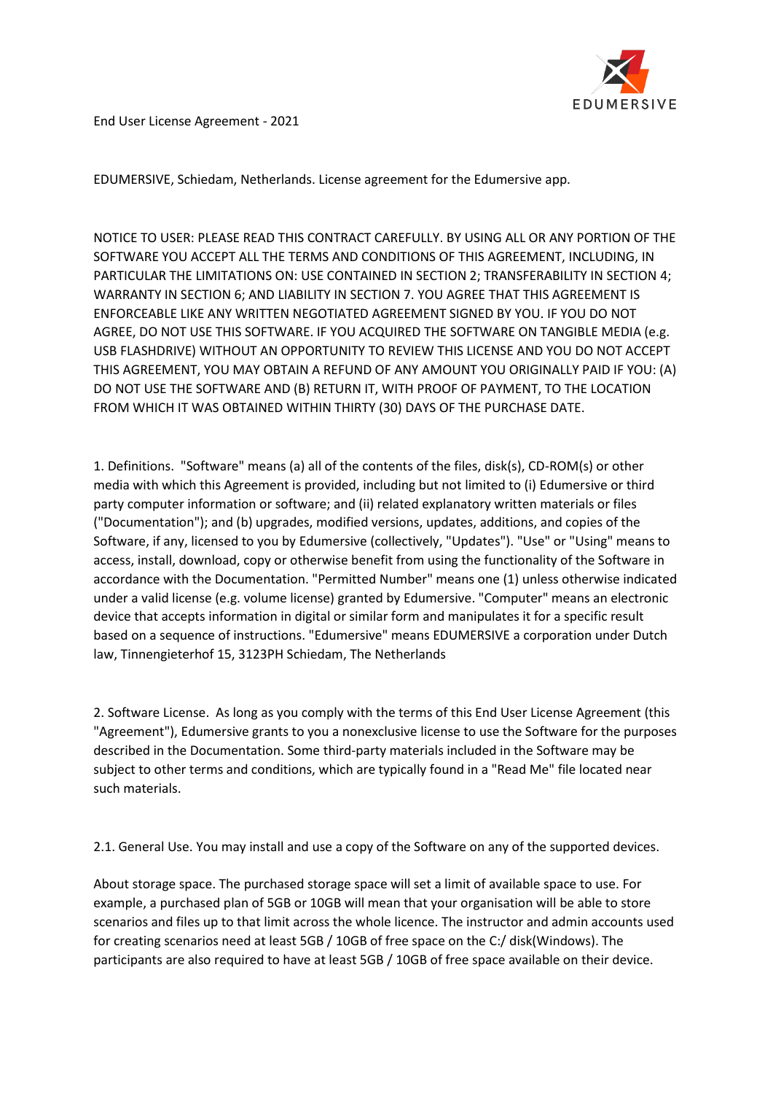

End User License Agreement - 2021

EDUMERSIVE, Schiedam, Netherlands. License agreement for the Edumersive app.

NOTICE TO USER: PLEASE READ THIS CONTRACT CAREFULLY. BY USING ALL OR ANY PORTION OF THE SOFTWARE YOU ACCEPT ALL THE TERMS AND CONDITIONS OF THIS AGREEMENT, INCLUDING, IN PARTICULAR THE LIMITATIONS ON: USE CONTAINED IN SECTION 2; TRANSFERABILITY IN SECTION 4; WARRANTY IN SECTION 6; AND LIABILITY IN SECTION 7. YOU AGREE THAT THIS AGREEMENT IS ENFORCEABLE LIKE ANY WRITTEN NEGOTIATED AGREEMENT SIGNED BY YOU. IF YOU DO NOT AGREE, DO NOT USE THIS SOFTWARE. IF YOU ACQUIRED THE SOFTWARE ON TANGIBLE MEDIA (e.g. USB FLASHDRIVE) WITHOUT AN OPPORTUNITY TO REVIEW THIS LICENSE AND YOU DO NOT ACCEPT THIS AGREEMENT, YOU MAY OBTAIN A REFUND OF ANY AMOUNT YOU ORIGINALLY PAID IF YOU: (A) DO NOT USE THE SOFTWARE AND (B) RETURN IT, WITH PROOF OF PAYMENT, TO THE LOCATION FROM WHICH IT WAS OBTAINED WITHIN THIRTY (30) DAYS OF THE PURCHASE DATE.

1. Definitions. "Software" means (a) all of the contents of the files, disk(s), CD-ROM(s) or other media with which this Agreement is provided, including but not limited to (i) Edumersive or third party computer information or software; and (ii) related explanatory written materials or files ("Documentation"); and (b) upgrades, modified versions, updates, additions, and copies of the Software, if any, licensed to you by Edumersive (collectively, "Updates"). "Use" or "Using" means to access, install, download, copy or otherwise benefit from using the functionality of the Software in accordance with the Documentation. "Permitted Number" means one (1) unless otherwise indicated under a valid license (e.g. volume license) granted by Edumersive. "Computer" means an electronic device that accepts information in digital or similar form and manipulates it for a specific result based on a sequence of instructions. "Edumersive" means EDUMERSIVE a corporation under Dutch law, Tinnengieterhof 15, 3123PH Schiedam, The Netherlands

2. Software License. As long as you comply with the terms of this End User License Agreement (this "Agreement"), Edumersive grants to you a nonexclusive license to use the Software for the purposes described in the Documentation. Some third-party materials included in the Software may be subject to other terms and conditions, which are typically found in a "Read Me" file located near such materials.

2.1. General Use. You may install and use a copy of the Software on any of the supported devices.

About storage space. The purchased storage space will set a limit of available space to use. For example, a purchased plan of 5GB or 10GB will mean that your organisation will be able to store scenarios and files up to that limit across the whole licence. The instructor and admin accounts used for creating scenarios need at least 5GB / 10GB of free space on the C:/ disk(Windows). The participants are also required to have at least 5GB / 10GB of free space available on their device.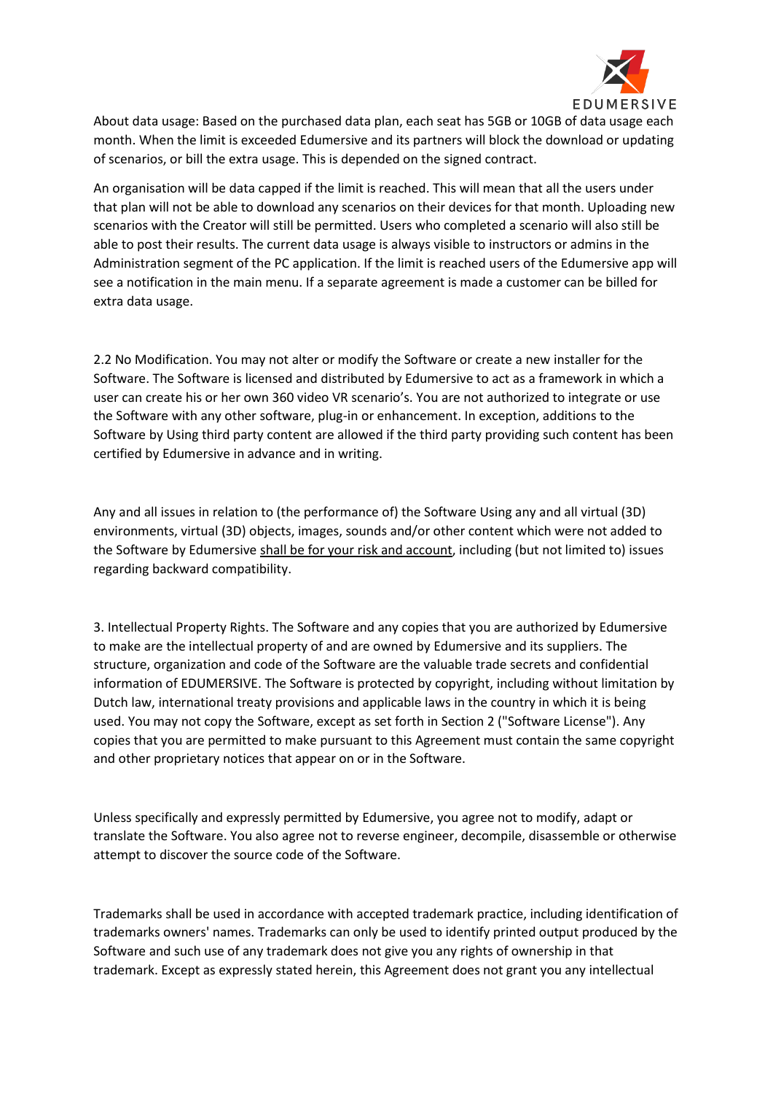

About data usage: Based on the purchased data plan, each seat has 5GB or 10GB of data usage each month. When the limit is exceeded Edumersive and its partners will block the download or updating of scenarios, or bill the extra usage. This is depended on the signed contract.

An organisation will be data capped if the limit is reached. This will mean that all the users under that plan will not be able to download any scenarios on their devices for that month. Uploading new scenarios with the Creator will still be permitted. Users who completed a scenario will also still be able to post their results. The current data usage is always visible to instructors or admins in the Administration segment of the PC application. If the limit is reached users of the Edumersive app will see a notification in the main menu. If a separate agreement is made a customer can be billed for extra data usage.

2.2 No Modification. You may not alter or modify the Software or create a new installer for the Software. The Software is licensed and distributed by Edumersive to act as a framework in which a user can create his or her own 360 video VR scenario's. You are not authorized to integrate or use the Software with any other software, plug-in or enhancement. In exception, additions to the Software by Using third party content are allowed if the third party providing such content has been certified by Edumersive in advance and in writing.

Any and all issues in relation to (the performance of) the Software Using any and all virtual (3D) environments, virtual (3D) objects, images, sounds and/or other content which were not added to the Software by Edumersive shall be for your risk and account, including (but not limited to) issues regarding backward compatibility.

3. Intellectual Property Rights. The Software and any copies that you are authorized by Edumersive to make are the intellectual property of and are owned by Edumersive and its suppliers. The structure, organization and code of the Software are the valuable trade secrets and confidential information of EDUMERSIVE. The Software is protected by copyright, including without limitation by Dutch law, international treaty provisions and applicable laws in the country in which it is being used. You may not copy the Software, except as set forth in Section 2 ("Software License"). Any copies that you are permitted to make pursuant to this Agreement must contain the same copyright and other proprietary notices that appear on or in the Software.

Unless specifically and expressly permitted by Edumersive, you agree not to modify, adapt or translate the Software. You also agree not to reverse engineer, decompile, disassemble or otherwise attempt to discover the source code of the Software.

Trademarks shall be used in accordance with accepted trademark practice, including identification of trademarks owners' names. Trademarks can only be used to identify printed output produced by the Software and such use of any trademark does not give you any rights of ownership in that trademark. Except as expressly stated herein, this Agreement does not grant you any intellectual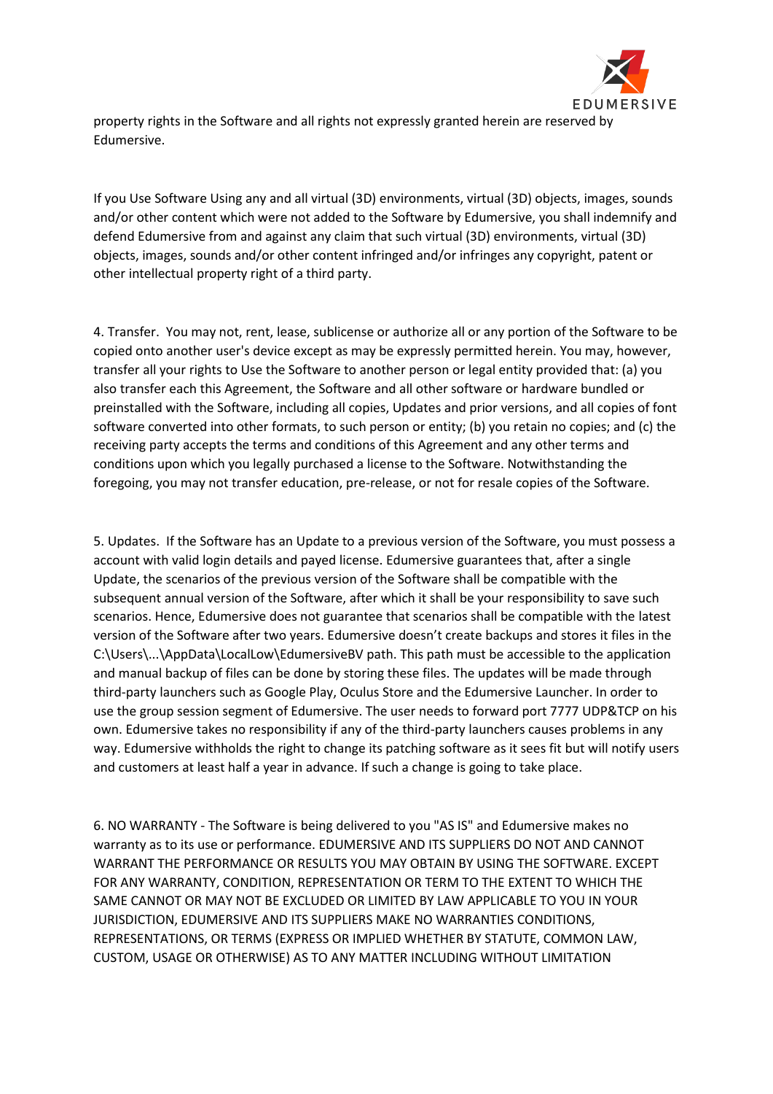

property rights in the Software and all rights not expressly granted herein are reserved by Edumersive.

If you Use Software Using any and all virtual (3D) environments, virtual (3D) objects, images, sounds and/or other content which were not added to the Software by Edumersive, you shall indemnify and defend Edumersive from and against any claim that such virtual (3D) environments, virtual (3D) objects, images, sounds and/or other content infringed and/or infringes any copyright, patent or other intellectual property right of a third party.

4. Transfer. You may not, rent, lease, sublicense or authorize all or any portion of the Software to be copied onto another user's device except as may be expressly permitted herein. You may, however, transfer all your rights to Use the Software to another person or legal entity provided that: (a) you also transfer each this Agreement, the Software and all other software or hardware bundled or preinstalled with the Software, including all copies, Updates and prior versions, and all copies of font software converted into other formats, to such person or entity; (b) you retain no copies; and (c) the receiving party accepts the terms and conditions of this Agreement and any other terms and conditions upon which you legally purchased a license to the Software. Notwithstanding the foregoing, you may not transfer education, pre-release, or not for resale copies of the Software.

5. Updates. If the Software has an Update to a previous version of the Software, you must possess a account with valid login details and payed license. Edumersive guarantees that, after a single Update, the scenarios of the previous version of the Software shall be compatible with the subsequent annual version of the Software, after which it shall be your responsibility to save such scenarios. Hence, Edumersive does not guarantee that scenarios shall be compatible with the latest version of the Software after two years. Edumersive doesn't create backups and stores it files in the C:\Users\...\AppData\LocalLow\EdumersiveBV path. This path must be accessible to the application and manual backup of files can be done by storing these files. The updates will be made through third-party launchers such as Google Play, Oculus Store and the Edumersive Launcher. In order to use the group session segment of Edumersive. The user needs to forward port 7777 UDP&TCP on his own. Edumersive takes no responsibility if any of the third-party launchers causes problems in any way. Edumersive withholds the right to change its patching software as it sees fit but will notify users and customers at least half a year in advance. If such a change is going to take place.

6. NO WARRANTY - The Software is being delivered to you "AS IS" and Edumersive makes no warranty as to its use or performance. EDUMERSIVE AND ITS SUPPLIERS DO NOT AND CANNOT WARRANT THE PERFORMANCE OR RESULTS YOU MAY OBTAIN BY USING THE SOFTWARE. EXCEPT FOR ANY WARRANTY, CONDITION, REPRESENTATION OR TERM TO THE EXTENT TO WHICH THE SAME CANNOT OR MAY NOT BE EXCLUDED OR LIMITED BY LAW APPLICABLE TO YOU IN YOUR JURISDICTION, EDUMERSIVE AND ITS SUPPLIERS MAKE NO WARRANTIES CONDITIONS, REPRESENTATIONS, OR TERMS (EXPRESS OR IMPLIED WHETHER BY STATUTE, COMMON LAW, CUSTOM, USAGE OR OTHERWISE) AS TO ANY MATTER INCLUDING WITHOUT LIMITATION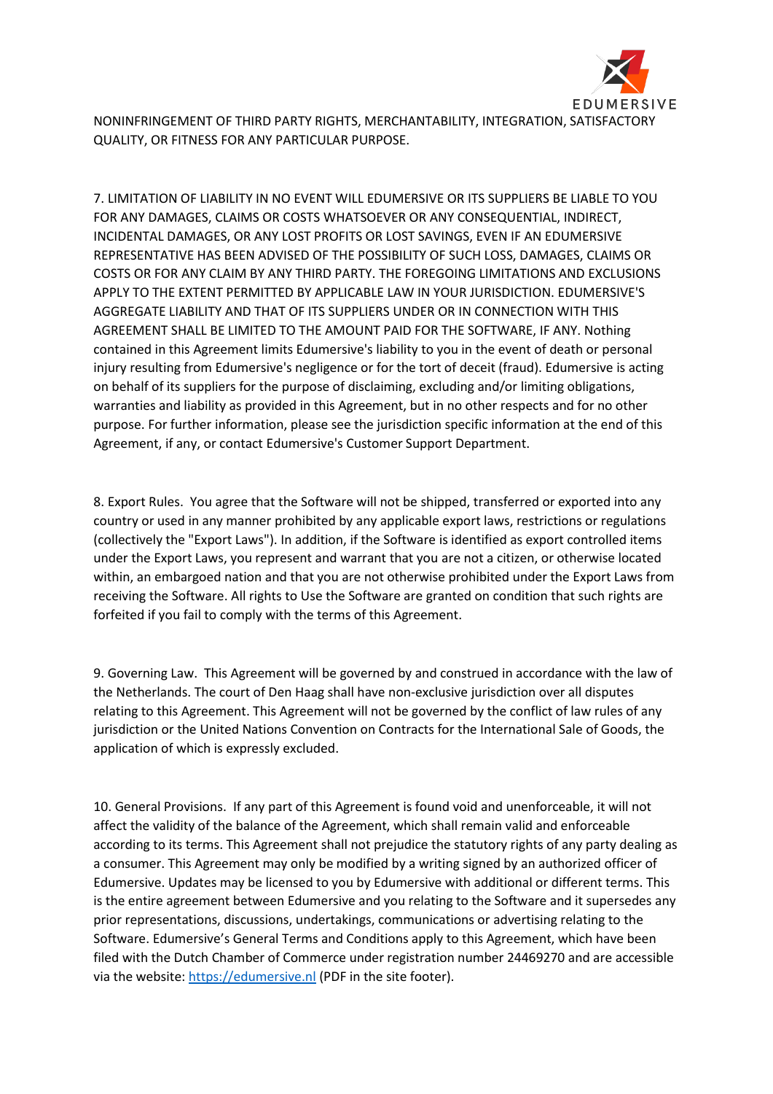

NONINFRINGEMENT OF THIRD PARTY RIGHTS, MERCHANTABILITY, INTEGRATION, SATISFACTORY QUALITY, OR FITNESS FOR ANY PARTICULAR PURPOSE.

7. LIMITATION OF LIABILITY IN NO EVENT WILL EDUMERSIVE OR ITS SUPPLIERS BE LIABLE TO YOU FOR ANY DAMAGES, CLAIMS OR COSTS WHATSOEVER OR ANY CONSEQUENTIAL, INDIRECT, INCIDENTAL DAMAGES, OR ANY LOST PROFITS OR LOST SAVINGS, EVEN IF AN EDUMERSIVE REPRESENTATIVE HAS BEEN ADVISED OF THE POSSIBILITY OF SUCH LOSS, DAMAGES, CLAIMS OR COSTS OR FOR ANY CLAIM BY ANY THIRD PARTY. THE FOREGOING LIMITATIONS AND EXCLUSIONS APPLY TO THE EXTENT PERMITTED BY APPLICABLE LAW IN YOUR JURISDICTION. EDUMERSIVE'S AGGREGATE LIABILITY AND THAT OF ITS SUPPLIERS UNDER OR IN CONNECTION WITH THIS AGREEMENT SHALL BE LIMITED TO THE AMOUNT PAID FOR THE SOFTWARE, IF ANY. Nothing contained in this Agreement limits Edumersive's liability to you in the event of death or personal injury resulting from Edumersive's negligence or for the tort of deceit (fraud). Edumersive is acting on behalf of its suppliers for the purpose of disclaiming, excluding and/or limiting obligations, warranties and liability as provided in this Agreement, but in no other respects and for no other purpose. For further information, please see the jurisdiction specific information at the end of this Agreement, if any, or contact Edumersive's Customer Support Department.

8. Export Rules. You agree that the Software will not be shipped, transferred or exported into any country or used in any manner prohibited by any applicable export laws, restrictions or regulations (collectively the "Export Laws"). In addition, if the Software is identified as export controlled items under the Export Laws, you represent and warrant that you are not a citizen, or otherwise located within, an embargoed nation and that you are not otherwise prohibited under the Export Laws from receiving the Software. All rights to Use the Software are granted on condition that such rights are forfeited if you fail to comply with the terms of this Agreement.

9. Governing Law. This Agreement will be governed by and construed in accordance with the law of the Netherlands. The court of Den Haag shall have non-exclusive jurisdiction over all disputes relating to this Agreement. This Agreement will not be governed by the conflict of law rules of any jurisdiction or the United Nations Convention on Contracts for the International Sale of Goods, the application of which is expressly excluded.

10. General Provisions. If any part of this Agreement is found void and unenforceable, it will not affect the validity of the balance of the Agreement, which shall remain valid and enforceable according to its terms. This Agreement shall not prejudice the statutory rights of any party dealing as a consumer. This Agreement may only be modified by a writing signed by an authorized officer of Edumersive. Updates may be licensed to you by Edumersive with additional or different terms. This is the entire agreement between Edumersive and you relating to the Software and it supersedes any prior representations, discussions, undertakings, communications or advertising relating to the Software. Edumersive's General Terms and Conditions apply to this Agreement, which have been filed with the Dutch Chamber of Commerce under registration number 24469270 and are accessible via the website: [https://edumersive.nl](https://edumersive.nl/) (PDF in the site footer).